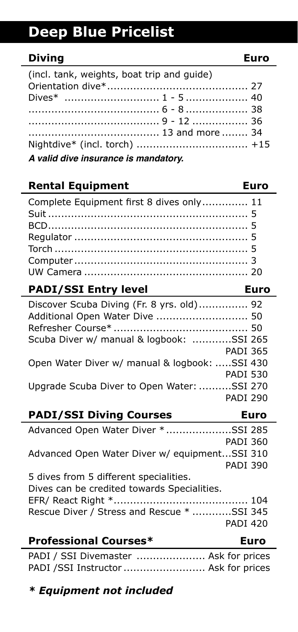# **Deep Blue Pricelist**

# **Diving Euro**

| (incl. tank, weights, boat trip and quide) |  |  |
|--------------------------------------------|--|--|
|                                            |  |  |
|                                            |  |  |
|                                            |  |  |
|                                            |  |  |
|                                            |  |  |
|                                            |  |  |
| A valid dive insurance is mandatory.       |  |  |

### **Rental Equipment Contract Euro** Complete Equipment first 8 dives only.............. 11 Suit ............................................................. 5 BCD............................................................. 5 Regulator ..................................................... 5 Torch ........................................................... 5 Computer ..................................................... 3 UW Camera .................................................. 20 **PADI/SSI Entry level Euro**

| Discover Scuba Diving (Fr. 8 yrs. old) 92     |  |
|-----------------------------------------------|--|
| Additional Open Water Dive  50                |  |
|                                               |  |
| Scuba Diver w/ manual & logbook: SSI 265      |  |
| <b>PADI 365</b>                               |  |
| Open Water Diver w/ manual & logbook: SSI 430 |  |
| <b>PADI 530</b>                               |  |
| Upgrade Scuba Diver to Open Water: SSI 270    |  |
| <b>PADI 290</b>                               |  |

## **PADI/SSI Diving Courses Euro**

| <b>Ducforstanni Cauversk</b><br>E             |  |
|-----------------------------------------------|--|
| <b>PADI 420</b>                               |  |
| Rescue Diver / Stress and Rescue * SSI 345    |  |
|                                               |  |
| Dives can be credited towards Specialities.   |  |
| 5 dives from 5 different specialities.        |  |
| <b>PADI 390</b>                               |  |
| Advanced Open Water Diver w/ equipmentSSI 310 |  |
| PADI 360                                      |  |
| Advanced Open Water Diver *SSI 285            |  |

### **Professional Courses\* Euro**

PADI / SSI Divemaster ............................ Ask for prices PADI /SSI Instructor ......................... Ask for prices

# *\* Equipment not included*